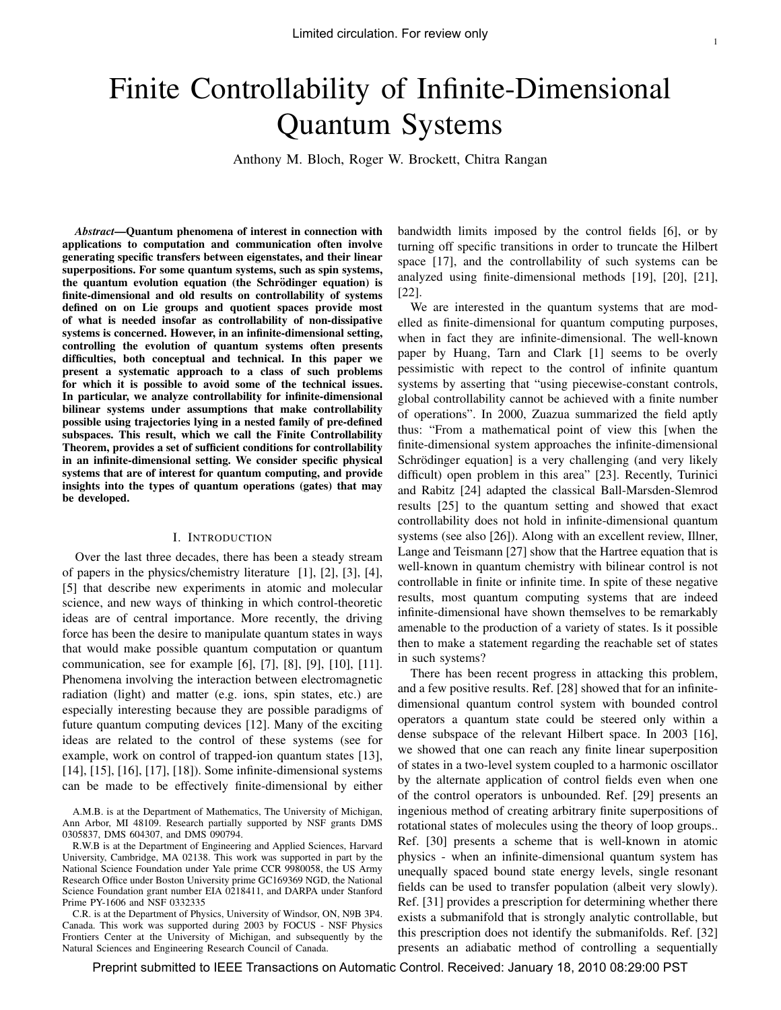# Finite Controllability of Infinite-Dimensional Quantum Systems

Anthony M. Bloch, Roger W. Brockett, Chitra Rangan

*Abstract*—Quantum phenomena of interest in connection with applications to computation and communication often involve generating specific transfers between eigenstates, and their linear superpositions. For some quantum systems, such as spin systems, the quantum evolution equation (the Schrödinger equation) is finite-dimensional and old results on controllability of systems defined on on Lie groups and quotient spaces provide most of what is needed insofar as controllability of non-dissipative systems is concerned. However, in an infinite-dimensional setting, controlling the evolution of quantum systems often presents difficulties, both conceptual and technical. In this paper we present a systematic approach to a class of such problems for which it is possible to avoid some of the technical issues. In particular, we analyze controllability for infinite-dimensional bilinear systems under assumptions that make controllability possible using trajectories lying in a nested family of pre-defined subspaces. This result, which we call the Finite Controllability Theorem, provides a set of sufficient conditions for controllability in an infinite-dimensional setting. We consider specific physical systems that are of interest for quantum computing, and provide insights into the types of quantum operations (gates) that may be developed.

#### I. INTRODUCTION

Over the last three decades, there has been a steady stream of papers in the physics/chemistry literature [1], [2], [3], [4], [5] that describe new experiments in atomic and molecular science, and new ways of thinking in which control-theoretic ideas are of central importance. More recently, the driving force has been the desire to manipulate quantum states in ways that would make possible quantum computation or quantum communication, see for example [6], [7], [8], [9], [10], [11]. Phenomena involving the interaction between electromagnetic radiation (light) and matter (e.g. ions, spin states, etc.) are especially interesting because they are possible paradigms of future quantum computing devices [12]. Many of the exciting ideas are related to the control of these systems (see for example, work on control of trapped-ion quantum states [13], [14], [15], [16], [17], [18]). Some infinite-dimensional systems can be made to be effectively finite-dimensional by either

A.M.B. is at the Department of Mathematics, The University of Michigan, Ann Arbor, MI 48109. Research partially supported by NSF grants DMS 0305837, DMS 604307, and DMS 090794.

R.W.B is at the Department of Engineering and Applied Sciences, Harvard University, Cambridge, MA 02138. This work was supported in part by the National Science Foundation under Yale prime CCR 9980058, the US Army Research Office under Boston University prime GC169369 NGD, the National Science Foundation grant number EIA 0218411, and DARPA under Stanford Prime PY-1606 and NSF 0332335

C.R. is at the Department of Physics, University of Windsor, ON, N9B 3P4. Canada. This work was supported during 2003 by FOCUS - NSF Physics Frontiers Center at the University of Michigan, and subsequently by the Natural Sciences and Engineering Research Council of Canada.

bandwidth limits imposed by the control fields [6], or by turning off specific transitions in order to truncate the Hilbert space [17], and the controllability of such systems can be analyzed using finite-dimensional methods [19], [20], [21], [22].

We are interested in the quantum systems that are modelled as finite-dimensional for quantum computing purposes, when in fact they are infinite-dimensional. The well-known paper by Huang, Tarn and Clark [1] seems to be overly pessimistic with repect to the control of infinite quantum systems by asserting that "using piecewise-constant controls, global controllability cannot be achieved with a finite number of operations". In 2000, Zuazua summarized the field aptly thus: "From a mathematical point of view this [when the finite-dimensional system approaches the infinite-dimensional Schrödinger equation] is a very challenging (and very likely difficult) open problem in this area" [23]. Recently, Turinici and Rabitz [24] adapted the classical Ball-Marsden-Slemrod results [25] to the quantum setting and showed that exact controllability does not hold in infinite-dimensional quantum systems (see also [26]). Along with an excellent review, Illner, Lange and Teismann [27] show that the Hartree equation that is well-known in quantum chemistry with bilinear control is not controllable in finite or infinite time. In spite of these negative results, most quantum computing systems that are indeed infinite-dimensional have shown themselves to be remarkably amenable to the production of a variety of states. Is it possible then to make a statement regarding the reachable set of states in such systems?

There has been recent progress in attacking this problem, and a few positive results. Ref. [28] showed that for an infinitedimensional quantum control system with bounded control operators a quantum state could be steered only within a dense subspace of the relevant Hilbert space. In 2003 [16], we showed that one can reach any finite linear superposition of states in a two-level system coupled to a harmonic oscillator by the alternate application of control fields even when one of the control operators is unbounded. Ref. [29] presents an ingenious method of creating arbitrary finite superpositions of rotational states of molecules using the theory of loop groups.. Ref. [30] presents a scheme that is well-known in atomic physics - when an infinite-dimensional quantum system has unequally spaced bound state energy levels, single resonant fields can be used to transfer population (albeit very slowly). Ref. [31] provides a prescription for determining whether there exists a submanifold that is strongly analytic controllable, but this prescription does not identify the submanifolds. Ref. [32] presents an adiabatic method of controlling a sequentially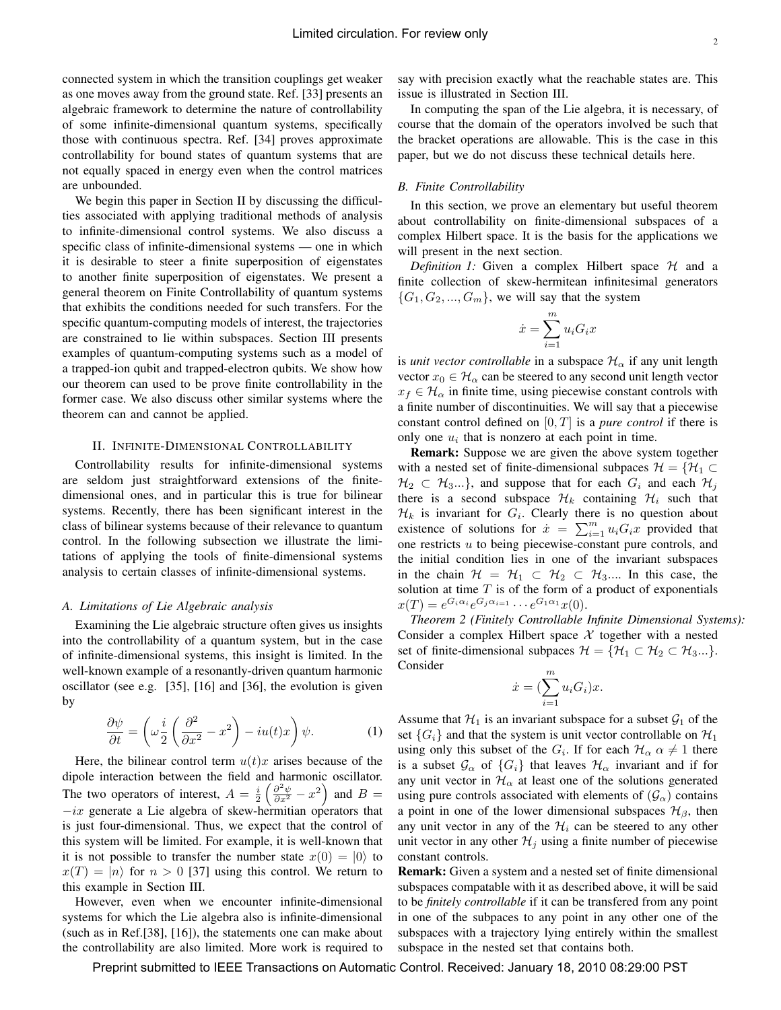connected system in which the transition couplings get weaker as one moves away from the ground state. Ref. [33] presents an algebraic framework to determine the nature of controllability of some infinite-dimensional quantum systems, specifically those with continuous spectra. Ref. [34] proves approximate controllability for bound states of quantum systems that are not equally spaced in energy even when the control matrices are unbounded.

We begin this paper in Section II by discussing the difficulties associated with applying traditional methods of analysis to infinite-dimensional control systems. We also discuss a specific class of infinite-dimensional systems — one in which it is desirable to steer a finite superposition of eigenstates to another finite superposition of eigenstates. We present a general theorem on Finite Controllability of quantum systems that exhibits the conditions needed for such transfers. For the specific quantum-computing models of interest, the trajectories are constrained to lie within subspaces. Section III presents examples of quantum-computing systems such as a model of a trapped-ion qubit and trapped-electron qubits. We show how our theorem can used to be prove finite controllability in the former case. We also discuss other similar systems where the theorem can and cannot be applied.

## II. INFINITE-DIMENSIONAL CONTROLLABILITY

Controllability results for infinite-dimensional systems are seldom just straightforward extensions of the finitedimensional ones, and in particular this is true for bilinear systems. Recently, there has been significant interest in the class of bilinear systems because of their relevance to quantum control. In the following subsection we illustrate the limitations of applying the tools of finite-dimensional systems analysis to certain classes of infinite-dimensional systems.

#### *A. Limitations of Lie Algebraic analysis*

Examining the Lie algebraic structure often gives us insights into the controllability of a quantum system, but in the case of infinite-dimensional systems, this insight is limited. In the well-known example of a resonantly-driven quantum harmonic oscillator (see e.g. [35], [16] and [36], the evolution is given by

$$
\frac{\partial \psi}{\partial t} = \left(\omega \frac{i}{2} \left(\frac{\partial^2}{\partial x^2} - x^2\right) - iu(t)x\right) \psi.
$$
 (1)

Here, the bilinear control term  $u(t)x$  arises because of the dipole interaction between the field and harmonic oscillator. The two operators of interest,  $A = \frac{i}{2} \left( \frac{\partial^2 \psi}{\partial x^2} - x^2 \right)$  and  $B =$  $-ix$  generate a Lie algebra of skew-hermitian operators that is just four-dimensional. Thus, we expect that the control of this system will be limited. For example, it is well-known that it is not possible to transfer the number state  $x(0) = |0\rangle$  to  $x(T) = |n\rangle$  for  $n > 0$  [37] using this control. We return to this example in Section III.

However, even when we encounter infinite-dimensional systems for which the Lie algebra also is infinite-dimensional (such as in Ref.[38], [16]), the statements one can make about the controllability are also limited. More work is required to say with precision exactly what the reachable states are. This issue is illustrated in Section III.

In computing the span of the Lie algebra, it is necessary, of course that the domain of the operators involved be such that the bracket operations are allowable. This is the case in this paper, but we do not discuss these technical details here.

#### *B. Finite Controllability*

In this section, we prove an elementary but useful theorem about controllability on finite-dimensional subspaces of a complex Hilbert space. It is the basis for the applications we will present in the next section.

*Definition 1:* Given a complex Hilbert space  $H$  and a finite collection of skew-hermitean infinitesimal generators  $\{G_1, G_2, ..., G_m\}$ , we will say that the system

$$
\dot{x} = \sum_{i=1}^{m} u_i G_i x
$$

is *unit vector controllable* in a subspace  $\mathcal{H}_{\alpha}$  if any unit length vector  $x_0 \in \mathcal{H}_\alpha$  can be steered to any second unit length vector  $x_f \in \mathcal{H}_{\alpha}$  in finite time, using piecewise constant controls with a finite number of discontinuities. We will say that a piecewise constant control defined on  $[0, T]$  is a *pure control* if there is only one  $u_i$  that is nonzero at each point in time.

Remark: Suppose we are given the above system together with a nested set of finite-dimensional subpaces  $\mathcal{H} = \{ \mathcal{H}_1 \subset$  $\mathcal{H}_2 \subset \mathcal{H}_3...\}$ , and suppose that for each  $G_i$  and each  $\mathcal{H}_i$ there is a second subspace  $\mathcal{H}_k$  containing  $\mathcal{H}_i$  such that  $\mathcal{H}_k$  is invariant for  $G_i$ . Clearly there is no question about existence of solutions for  $\dot{x} = \sum_{i=1}^{m} u_i G_i x$  provided that one restricts u to being piecewise-constant pure controls, and the initial condition lies in one of the invariant subspaces in the chain  $\mathcal{H} = \mathcal{H}_1 \subset \mathcal{H}_2 \subset \mathcal{H}_3$ .... In this case, the solution at time  $T$  is of the form of a product of exponentials  $x(T) = e^{G_i \alpha_i} e^{G_j \alpha_{i=1}} \cdots e^{G_1 \alpha_1} x(0).$ 

*Theorem 2 (Finitely Controllable Infinite Dimensional Systems):* Consider a complex Hilbert space  $X$  together with a nested set of finite-dimensional subpaces  $\mathcal{H} = {\mathcal{H}_1 \subset \mathcal{H}_2 \subset \mathcal{H}_3...}$ . Consider

$$
\dot{x} = \left(\sum_{i=1}^{m} u_i G_i\right) x.
$$

Assume that  $\mathcal{H}_1$  is an invariant subspace for a subset  $\mathcal{G}_1$  of the set  $\{G_i\}$  and that the system is unit vector controllable on  $\mathcal{H}_1$ using only this subset of the  $G_i$ . If for each  $\mathcal{H}_{\alpha}$   $\alpha \neq 1$  there is a subset  $\mathcal{G}_{\alpha}$  of  $\{G_i\}$  that leaves  $\mathcal{H}_{\alpha}$  invariant and if for any unit vector in  $\mathcal{H}_{\alpha}$  at least one of the solutions generated using pure controls associated with elements of  $(\mathcal{G}_{\alpha})$  contains a point in one of the lower dimensional subspaces  $\mathcal{H}_{\beta}$ , then any unit vector in any of the  $\mathcal{H}_i$  can be steered to any other unit vector in any other  $\mathcal{H}_j$  using a finite number of piecewise constant controls.

Remark: Given a system and a nested set of finite dimensional subspaces compatable with it as described above, it will be said to be *finitely controllable* if it can be transfered from any point in one of the subpaces to any point in any other one of the subspaces with a trajectory lying entirely within the smallest subspace in the nested set that contains both.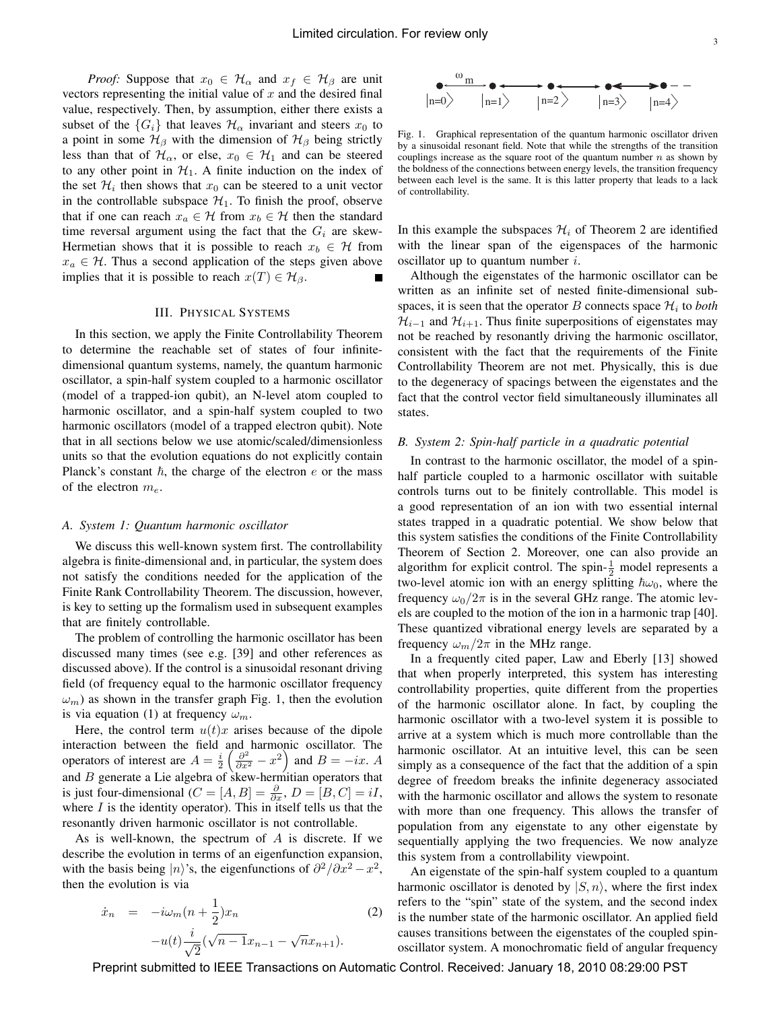*Proof:* Suppose that  $x_0 \in H_\alpha$  and  $x_f \in H_\beta$  are unit vectors representing the initial value of  $x$  and the desired final value, respectively. Then, by assumption, either there exists a subset of the  $\{G_i\}$  that leaves  $\mathcal{H}_{\alpha}$  invariant and steers  $x_0$  to a point in some  $\mathcal{H}_{\beta}$  with the dimension of  $\mathcal{H}_{\beta}$  being strictly less than that of  $\mathcal{H}_{\alpha}$ , or else,  $x_0 \in \mathcal{H}_1$  and can be steered to any other point in  $H_1$ . A finite induction on the index of the set  $\mathcal{H}_i$  then shows that  $x_0$  can be steered to a unit vector in the controllable subspace  $\mathcal{H}_1$ . To finish the proof, observe that if one can reach  $x_a \in \mathcal{H}$  from  $x_b \in \mathcal{H}$  then the standard time reversal argument using the fact that the  $G_i$  are skew-Hermetian shows that it is possible to reach  $x_b \in \mathcal{H}$  from  $x_a \in \mathcal{H}$ . Thus a second application of the steps given above implies that it is possible to reach  $x(T) \in \mathcal{H}_{\beta}$ .

#### III. PHYSICAL SYSTEMS

In this section, we apply the Finite Controllability Theorem to determine the reachable set of states of four infinitedimensional quantum systems, namely, the quantum harmonic oscillator, a spin-half system coupled to a harmonic oscillator (model of a trapped-ion qubit), an N-level atom coupled to harmonic oscillator, and a spin-half system coupled to two harmonic oscillators (model of a trapped electron qubit). Note that in all sections below we use atomic/scaled/dimensionless units so that the evolution equations do not explicitly contain Planck's constant  $\hbar$ , the charge of the electron e or the mass of the electron  $m_e$ .

#### *A. System 1: Quantum harmonic oscillator*

We discuss this well-known system first. The controllability algebra is finite-dimensional and, in particular, the system does not satisfy the conditions needed for the application of the Finite Rank Controllability Theorem. The discussion, however, is key to setting up the formalism used in subsequent examples that are finitely controllable.

The problem of controlling the harmonic oscillator has been discussed many times (see e.g. [39] and other references as discussed above). If the control is a sinusoidal resonant driving field (of frequency equal to the harmonic oscillator frequency  $\omega_m$ ) as shown in the transfer graph Fig. 1, then the evolution is via equation (1) at frequency  $\omega_m$ .

Here, the control term  $u(t)x$  arises because of the dipole interaction between the field and harmonic oscillator. The operators of interest are  $A = \frac{i}{2} \left( \frac{\partial^2}{\partial x^2} - x^2 \right)$  and  $B = -ix$ . A and  $B$  generate a Lie algebra of skew-hermitian operators that is just four-dimensional ( $C = [A, B] = \frac{\partial}{\partial x}$ ,  $D = [B, C] = iI$ , where  $I$  is the identity operator). This in itself tells us that the resonantly driven harmonic oscillator is not controllable.

As is well-known, the spectrum of A is discrete. If we describe the evolution in terms of an eigenfunction expansion, with the basis being |n)'s, the eigenfunctions of  $\partial^2/\partial x^2 - x^2$ , then the evolution is via

$$
\dot{x}_n = -i\omega_m(n + \frac{1}{2})x_n
$$
  
-u(t) $\frac{i}{\sqrt{2}}(\sqrt{n-1}x_{n-1} - \sqrt{n}x_{n+1}).$  (2)



Fig. 1. Graphical representation of the quantum harmonic oscillator driven by a sinusoidal resonant field. Note that while the strengths of the transition couplings increase as the square root of the quantum number  $n$  as shown by the boldness of the connections between energy levels, the transition frequency between each level is the same. It is this latter property that leads to a lack of controllability.

In this example the subspaces  $\mathcal{H}_i$  of Theorem 2 are identified with the linear span of the eigenspaces of the harmonic oscillator up to quantum number  $i$ .

Although the eigenstates of the harmonic oscillator can be written as an infinite set of nested finite-dimensional subspaces, it is seen that the operator B connects space  $\mathcal{H}_i$  to *both*  $\mathcal{H}_{i-1}$  and  $\mathcal{H}_{i+1}$ . Thus finite superpositions of eigenstates may not be reached by resonantly driving the harmonic oscillator, consistent with the fact that the requirements of the Finite Controllability Theorem are not met. Physically, this is due to the degeneracy of spacings between the eigenstates and the fact that the control vector field simultaneously illuminates all states.

#### *B. System 2: Spin-half particle in a quadratic potential*

In contrast to the harmonic oscillator, the model of a spinhalf particle coupled to a harmonic oscillator with suitable controls turns out to be finitely controllable. This model is a good representation of an ion with two essential internal states trapped in a quadratic potential. We show below that this system satisfies the conditions of the Finite Controllability Theorem of Section 2. Moreover, one can also provide an algorithm for explicit control. The spin- $\frac{1}{2}$  model represents a two-level atomic ion with an energy splitting  $\hbar \omega_0$ , where the frequency  $\omega_0/2\pi$  is in the several GHz range. The atomic levels are coupled to the motion of the ion in a harmonic trap [40]. These quantized vibrational energy levels are separated by a frequency  $\omega_m/2\pi$  in the MHz range.

In a frequently cited paper, Law and Eberly [13] showed that when properly interpreted, this system has interesting controllability properties, quite different from the properties of the harmonic oscillator alone. In fact, by coupling the harmonic oscillator with a two-level system it is possible to arrive at a system which is much more controllable than the harmonic oscillator. At an intuitive level, this can be seen simply as a consequence of the fact that the addition of a spin degree of freedom breaks the infinite degeneracy associated with the harmonic oscillator and allows the system to resonate with more than one frequency. This allows the transfer of population from any eigenstate to any other eigenstate by sequentially applying the two frequencies. We now analyze this system from a controllability viewpoint.

An eigenstate of the spin-half system coupled to a quantum harmonic oscillator is denoted by  $|S, n\rangle$ , where the first index refers to the "spin" state of the system, and the second index is the number state of the harmonic oscillator. An applied field causes transitions between the eigenstates of the coupled spinoscillator system. A monochromatic field of angular frequency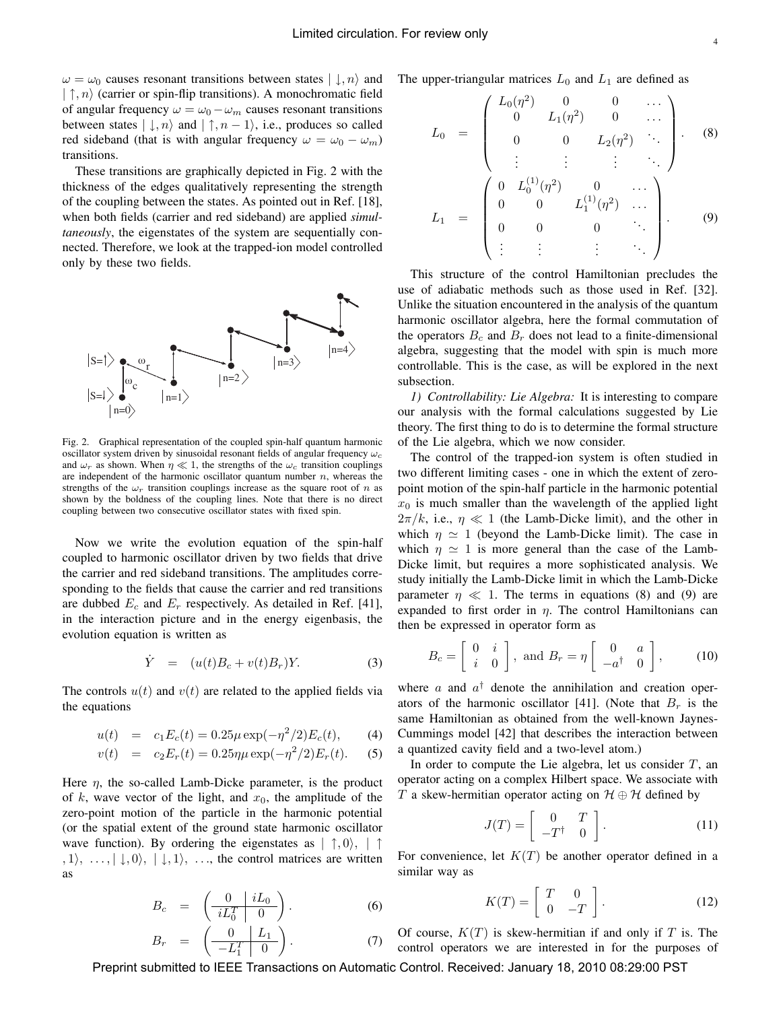$\omega = \omega_0$  causes resonant transitions between states  $|\downarrow, n\rangle$  and  $|\uparrow, n\rangle$  (carrier or spin-flip transitions). A monochromatic field of angular frequency  $\omega = \omega_0 - \omega_m$  causes resonant transitions between states  $|\downarrow, n\rangle$  and  $|\uparrow, n-1\rangle$ , i.e., produces so called red sideband (that is with angular frequency  $\omega = \omega_0 - \omega_m$ ) transitions.

These transitions are graphically depicted in Fig. 2 with the thickness of the edges qualitatively representing the strength of the coupling between the states. As pointed out in Ref. [18], when both fields (carrier and red sideband) are applied *simultaneously*, the eigenstates of the system are sequentially connected. Therefore, we look at the trapped-ion model controlled only by these two fields.



Fig. 2. Graphical representation of the coupled spin-half quantum harmonic oscillator system driven by sinusoidal resonant fields of angular frequency ω*<sup>c</sup>* and  $\omega_r$  as shown. When  $\eta \ll 1$ , the strengths of the  $\omega_c$  transition couplings are independent of the harmonic oscillator quantum number  $n$ , whereas the strengths of the  $\omega_r$  transition couplings increase as the square root of n as shown by the boldness of the coupling lines. Note that there is no direct coupling between two consecutive oscillator states with fixed spin.

Now we write the evolution equation of the spin-half coupled to harmonic oscillator driven by two fields that drive the carrier and red sideband transitions. The amplitudes corresponding to the fields that cause the carrier and red transitions are dubbed  $E_c$  and  $E_r$  respectively. As detailed in Ref. [41], in the interaction picture and in the energy eigenbasis, the evolution equation is written as

$$
\dot{Y} = (u(t)B_c + v(t)B_r)Y.
$$
\n(3)

The controls  $u(t)$  and  $v(t)$  are related to the applied fields via the equations

$$
u(t) = c_1 E_c(t) = 0.25\mu \exp(-\eta^2/2)E_c(t), \qquad (4)
$$

$$
v(t) = c_2 E_r(t) = 0.25 \eta \mu \exp(-\eta^2/2) E_r(t).
$$
 (5)

Here  $\eta$ , the so-called Lamb-Dicke parameter, is the product of k, wave vector of the light, and  $x_0$ , the amplitude of the zero-point motion of the particle in the harmonic potential (or the spatial extent of the ground state harmonic oscillator wave function). By ordering the eigenstates as  $|\uparrow, 0\rangle, |\uparrow$  $, 1 \rangle, \ldots, |\downarrow, 0 \rangle, |\downarrow, 1 \rangle, \ldots$ , the control matrices are written as

$$
B_c = \left(\begin{array}{c|c} 0 & iL_0 \\ \hline iL_0^T & 0 \end{array}\right). \tag{6}
$$

$$
B_r = \left(\begin{array}{c|c} 0 & L_1 \\ \hline -L_1^T & 0 \end{array}\right). \tag{7}
$$

The upper-triangular matrices  $L_0$  and  $L_1$  are defined as

$$
L_0 = \begin{pmatrix} L_0(\eta^2) & 0 & 0 & \cdots \\ 0 & L_1(\eta^2) & 0 & \cdots \\ 0 & 0 & L_2(\eta^2) & \ddots \\ \vdots & \vdots & \vdots & \ddots \end{pmatrix} . \quad (8)
$$

$$
L_1 = \begin{pmatrix} 0 & L_0^{(1)}(\eta^2) & 0 & \cdots \\ 0 & 0 & L_1^{(1)}(\eta^2) & \cdots \\ 0 & 0 & 0 & \ddots \\ \vdots & \vdots & \vdots & \ddots \end{pmatrix} . \quad (9)
$$

This structure of the control Hamiltonian precludes the use of adiabatic methods such as those used in Ref. [32]. Unlike the situation encountered in the analysis of the quantum harmonic oscillator algebra, here the formal commutation of the operators  $B_c$  and  $B_r$  does not lead to a finite-dimensional algebra, suggesting that the model with spin is much more controllable. This is the case, as will be explored in the next subsection.

*1) Controllability: Lie Algebra:* It is interesting to compare our analysis with the formal calculations suggested by Lie theory. The first thing to do is to determine the formal structure of the Lie algebra, which we now consider.

The control of the trapped-ion system is often studied in two different limiting cases - one in which the extent of zeropoint motion of the spin-half particle in the harmonic potential  $x_0$  is much smaller than the wavelength of the applied light  $2\pi/k$ , i.e.,  $\eta \ll 1$  (the Lamb-Dicke limit), and the other in which  $\eta \simeq 1$  (beyond the Lamb-Dicke limit). The case in which  $\eta \simeq 1$  is more general than the case of the Lamb-Dicke limit, but requires a more sophisticated analysis. We study initially the Lamb-Dicke limit in which the Lamb-Dicke parameter  $\eta \ll 1$ . The terms in equations (8) and (9) are expanded to first order in  $\eta$ . The control Hamiltonians can then be expressed in operator form as

$$
B_c = \begin{bmatrix} 0 & i \\ i & 0 \end{bmatrix}, \text{ and } B_r = \eta \begin{bmatrix} 0 & a \\ -a^{\dagger} & 0 \end{bmatrix}, \quad (10)
$$

where a and  $a^{\dagger}$  denote the annihilation and creation operators of the harmonic oscillator [41]. (Note that  $B_r$  is the same Hamiltonian as obtained from the well-known Jaynes-Cummings model [42] that describes the interaction between a quantized cavity field and a two-level atom.)

In order to compute the Lie algebra, let us consider  $T$ , an operator acting on a complex Hilbert space. We associate with T a skew-hermitian operator acting on  $\mathcal{H} \oplus \mathcal{H}$  defined by

$$
J(T) = \left[ \begin{array}{cc} 0 & T \\ -T^{\dagger} & 0 \end{array} \right]. \tag{11}
$$

For convenience, let  $K(T)$  be another operator defined in a similar way as

$$
K(T) = \left[ \begin{array}{cc} T & 0 \\ 0 & -T \end{array} \right]. \tag{12}
$$

Of course,  $K(T)$  is skew-hermitian if and only if T is. The control operators we are interested in for the purposes of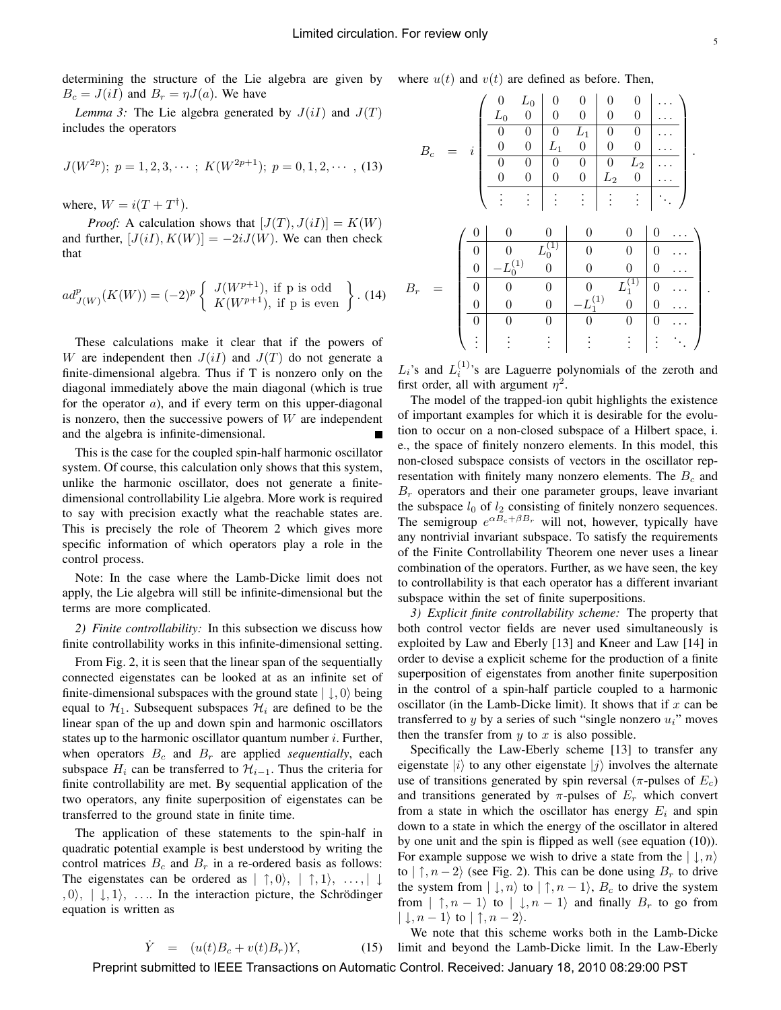determining the structure of the Lie algebra are given by  $B_c = J(iI)$  and  $B_r = \eta J(a)$ . We have

*Lemma 3:* The Lie algebra generated by  $J(iI)$  and  $J(T)$ includes the operators

$$
J(W^{2p}); p = 1, 2, 3, \cdots; K(W^{2p+1}); p = 0, 1, 2, \cdots, (13)
$$

where,  $W = i(T + T^{\dagger})$ .

*Proof:* A calculation shows that  $[J(T), J(iI)] = K(W)$ and further,  $[J(iI), K(W)] = -2iJ(W)$ . We can then check that

$$
ad_{J(W)}^{p}(K(W)) = (-2)^{p} \left\{ \begin{array}{c} J(W^{p+1}), \text{ if p is odd} \\ K(W^{p+1}), \text{ if p is even} \end{array} \right\}.
$$
 (14)

These calculations make it clear that if the powers of W are independent then  $J(iI)$  and  $J(T)$  do not generate a finite-dimensional algebra. Thus if T is nonzero only on the diagonal immediately above the main diagonal (which is true for the operator  $a$ ), and if every term on this upper-diagonal is nonzero, then the successive powers of  $W$  are independent and the algebra is infinite-dimensional.

This is the case for the coupled spin-half harmonic oscillator system. Of course, this calculation only shows that this system, unlike the harmonic oscillator, does not generate a finitedimensional controllability Lie algebra. More work is required to say with precision exactly what the reachable states are. This is precisely the role of Theorem 2 which gives more specific information of which operators play a role in the control process.

Note: In the case where the Lamb-Dicke limit does not apply, the Lie algebra will still be infinite-dimensional but the terms are more complicated.

*2) Finite controllability:* In this subsection we discuss how finite controllability works in this infinite-dimensional setting.

From Fig. 2, it is seen that the linear span of the sequentially connected eigenstates can be looked at as an infinite set of finite-dimensional subspaces with the ground state  $|\downarrow, 0\rangle$  being equal to  $\mathcal{H}_1$ . Subsequent subspaces  $\mathcal{H}_i$  are defined to be the linear span of the up and down spin and harmonic oscillators states up to the harmonic oscillator quantum number  $i$ . Further, when operators  $B_c$  and  $B_r$  are applied *sequentially*, each subspace  $H_i$  can be transferred to  $\mathcal{H}_{i-1}$ . Thus the criteria for finite controllability are met. By sequential application of the two operators, any finite superposition of eigenstates can be transferred to the ground state in finite time.

The application of these statements to the spin-half in quadratic potential example is best understood by writing the control matrices  $B_c$  and  $B_r$  in a re-ordered basis as follows: The eigenstates can be ordered as  $|\uparrow, 0\rangle, |\uparrow, 1\rangle, \ldots, |\downarrow$  $, 0 \rangle, | \downarrow, 1 \rangle, \ldots$  In the interaction picture, the Schrödinger equation is written as

 $\dot{Y} = (u(t)B_c + v(t)B_r)Y,$ 

where 
$$
u(t)
$$
 and  $v(t)$  are defined as before. Then,

$$
B_c = i \begin{pmatrix} 0 & L_0 & 0 & 0 & 0 & 0 & 0 & \dots \\ L_0 & 0 & 0 & 0 & 0 & 0 & 0 & \dots \\ \hline 0 & 0 & 0 & L_1 & 0 & 0 & 0 & \dots \\ \hline 0 & 0 & 0 & 0 & 0 & L_2 & \dots \\ \hline 0 & 0 & 0 & 0 & L_2 & 0 & \dots \\ \hline \vdots & \vdots & \vdots & \vdots & \vdots & \vdots & \ddots \end{pmatrix}.
$$

$$
B_r = \begin{pmatrix} 0 & 0 & 0 & 0 & 0 & 0 & 0 & \dots \\ \hline 0 & 0 & L_0^{(1)} & 0 & 0 & 0 & 0 & \dots \\ \hline 0 & -L_0^{(1)} & 0 & 0 & 0 & 0 & \dots \\ \hline 0 & 0 & 0 & -L_1^{(1)} & 0 & 0 & \dots \\ \hline 0 & 0 & 0 & 0 & 0 & 0 & \dots \\ \vdots & \vdots & \vdots & \vdots & \vdots & \vdots & \vdots \end{pmatrix}.
$$

 $L_i$ 's and  $L_i^{(1)}$ 's are Laguerre polynomials of the zeroth and first order, all with argument  $\eta^2$ .

The model of the trapped-ion qubit highlights the existence of important examples for which it is desirable for the evolution to occur on a non-closed subspace of a Hilbert space, i. e., the space of finitely nonzero elements. In this model, this non-closed subspace consists of vectors in the oscillator representation with finitely many nonzero elements. The  $B<sub>c</sub>$  and  $B<sub>r</sub>$  operators and their one parameter groups, leave invariant the subspace  $l_0$  of  $l_2$  consisting of finitely nonzero sequences. The semigroup  $e^{\alpha \vec{B}_c + \beta B_r}$  will not, however, typically have any nontrivial invariant subspace. To satisfy the requirements of the Finite Controllability Theorem one never uses a linear combination of the operators. Further, as we have seen, the key to controllability is that each operator has a different invariant subspace within the set of finite superpositions.

*3) Explicit finite controllability scheme:* The property that both control vector fields are never used simultaneously is exploited by Law and Eberly [13] and Kneer and Law [14] in order to devise a explicit scheme for the production of a finite superposition of eigenstates from another finite superposition in the control of a spin-half particle coupled to a harmonic oscillator (in the Lamb-Dicke limit). It shows that if  $x$  can be transferred to y by a series of such "single nonzero  $u_i$ " moves then the transfer from  $y$  to  $x$  is also possible.

Specifically the Law-Eberly scheme [13] to transfer any eigenstate  $|i\rangle$  to any other eigenstate  $|j\rangle$  involves the alternate use of transitions generated by spin reversal ( $\pi$ -pulses of  $E_c$ ) and transitions generated by  $\pi$ -pulses of  $E_r$  which convert from a state in which the oscillator has energy  $E_i$  and spin down to a state in which the energy of the oscillator in altered by one unit and the spin is flipped as well (see equation (10)). For example suppose we wish to drive a state from the  $|\downarrow, n\rangle$ to  $|\uparrow, n-2\rangle$  (see Fig. 2). This can be done using  $B_r$  to drive the system from  $|\downarrow, n\rangle$  to  $|\uparrow, n-1\rangle$ ,  $B_c$  to drive the system from  $|\uparrow, n-1\rangle$  to  $|\downarrow, n-1\rangle$  and finally  $B_r$  to go from  $|\downarrow, n-1\rangle$  to  $|\uparrow, n-2\rangle$ .

We note that this scheme works both in the Lamb-Dicke limit and beyond the Lamb-Dicke limit. In the Law-Eberly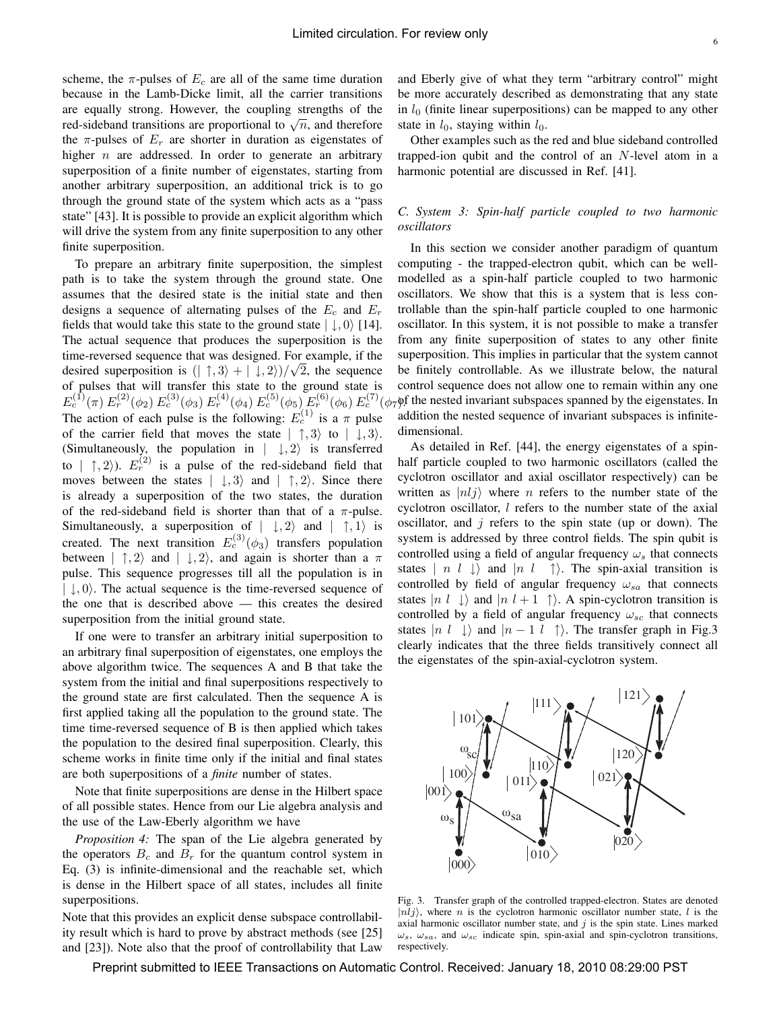scheme, the  $\pi$ -pulses of  $E_c$  are all of the same time duration because in the Lamb-Dicke limit, all the carrier transitions are equally strong. However, the coupling strengths of the red-sideband transitions are proportional to  $\sqrt{n}$ , and therefore the  $\pi$ -pulses of  $E_r$  are shorter in duration as eigenstates of higher  $n$  are addressed. In order to generate an arbitrary superposition of a finite number of eigenstates, starting from another arbitrary superposition, an additional trick is to go through the ground state of the system which acts as a "pass state" [43]. It is possible to provide an explicit algorithm which will drive the system from any finite superposition to any other finite superposition.

To prepare an arbitrary finite superposition, the simplest path is to take the system through the ground state. One assumes that the desired state is the initial state and then designs a sequence of alternating pulses of the  $E_c$  and  $E_r$ fields that would take this state to the ground state  $|\downarrow, 0\rangle$  [14]. The actual sequence that produces the superposition is the time-reversed sequence that was designed. For example, if the desired superposition is  $(| \uparrow, 3 \rangle + | \downarrow, 2 \rangle)/\sqrt{2}$ , the sequence of pulses that will transfer this state to the ground state is The action of each pulse is the following:  $E_c^{(1)}$  is a  $\pi$  pulse of the carrier field that moves the state  $|\uparrow, 3\rangle$  to  $|\downarrow, 3\rangle$ . (Simultaneously, the population in  $|\downarrow, 2\rangle$  is transferred to  $|\uparrow, 2\rangle$ ).  $E_r^{(2)}$  is a pulse of the red-sideband field that moves between the states  $|\ \downarrow, 3\rangle$  and  $|\ \uparrow, 2\rangle$ . Since there is already a superposition of the two states, the duration of the red-sideband field is shorter than that of a  $\pi$ -pulse. Simultaneously, a superposition of  $|\downarrow, 2\rangle$  and  $|\uparrow, 1\rangle$  is created. The next transition  $E_c^{(3)}(\phi_3)$  transfers population between  $|\uparrow, 2\rangle$  and  $|\downarrow, 2\rangle$ , and again is shorter than a  $\pi$ pulse. This sequence progresses till all the population is in  $|\downarrow, 0\rangle$ . The actual sequence is the time-reversed sequence of the one that is described above — this creates the desired superposition from the initial ground state.

If one were to transfer an arbitrary initial superposition to an arbitrary final superposition of eigenstates, one employs the above algorithm twice. The sequences A and B that take the system from the initial and final superpositions respectively to the ground state are first calculated. Then the sequence A is first applied taking all the population to the ground state. The time time-reversed sequence of B is then applied which takes the population to the desired final superposition. Clearly, this scheme works in finite time only if the initial and final states are both superpositions of a *finite* number of states.

Note that finite superpositions are dense in the Hilbert space of all possible states. Hence from our Lie algebra analysis and the use of the Law-Eberly algorithm we have

*Proposition 4:* The span of the Lie algebra generated by the operators  $B_c$  and  $B_r$  for the quantum control system in Eq. (3) is infinite-dimensional and the reachable set, which is dense in the Hilbert space of all states, includes all finite superpositions.

Note that this provides an explicit dense subspace controllability result which is hard to prove by abstract methods (see [25] and [23]). Note also that the proof of controllability that Law and Eberly give of what they term "arbitrary control" might be more accurately described as demonstrating that any state in  $l_0$  (finite linear superpositions) can be mapped to any other state in  $l_0$ , staying within  $l_0$ .

Other examples such as the red and blue sideband controlled trapped-ion qubit and the control of an N-level atom in a harmonic potential are discussed in Ref. [41].

## *C. System 3: Spin-half particle coupled to two harmonic oscillators*

 $E_c^{(1)}(\pi) E_r^{(2)}(\phi_2) E_c^{(3)}(\phi_3) E_r^{(4)}(\phi_4) E_c^{(5)}(\phi_5) E_r^{(6)}(\phi_6) E_c^{(7)}(\phi_7)$  the nested invariant subspaces spanned by the eigenstates. In In this section we consider another paradigm of quantum computing - the trapped-electron qubit, which can be wellmodelled as a spin-half particle coupled to two harmonic oscillators. We show that this is a system that is less controllable than the spin-half particle coupled to one harmonic oscillator. In this system, it is not possible to make a transfer from any finite superposition of states to any other finite superposition. This implies in particular that the system cannot be finitely controllable. As we illustrate below, the natural control sequence does not allow one to remain within any one addition the nested sequence of invariant subspaces is infinitedimensional.

> As detailed in Ref. [44], the energy eigenstates of a spinhalf particle coupled to two harmonic oscillators (called the cyclotron oscillator and axial oscillator respectively) can be written as  $|nlj\rangle$  where *n* refers to the number state of the cyclotron oscillator, l refers to the number state of the axial oscillator, and  $j$  refers to the spin state (up or down). The system is addressed by three control fields. The spin qubit is controlled using a field of angular frequency  $\omega_s$  that connects states  $\mid n \, l \, \downarrow \rangle$  and  $\mid n \, l \, \uparrow \rangle$ . The spin-axial transition is controlled by field of angular frequency  $\omega_{sa}$  that connects states  $|n l \rangle$  and  $|n l + 1 \rangle$ . A spin-cyclotron transition is controlled by a field of angular frequency  $\omega_{sc}$  that connects states  $|n \, l \, \downarrow \rangle$  and  $|n - 1 \, l \, \uparrow \rangle$ . The transfer graph in Fig.3 clearly indicates that the three fields transitively connect all the eigenstates of the spin-axial-cyclotron system.



Fig. 3. Transfer graph of the controlled trapped-electron. States are denoted  $|n\ni j\rangle$ , where *n* is the cyclotron harmonic oscillator number state, *l* is the axial harmonic oscillator number state, and  $j$  is the spin state. Lines marked  $\omega_s$ ,  $\omega_{sa}$ , and  $\omega_{sc}$  indicate spin, spin-axial and spin-cyclotron transitions, respectively.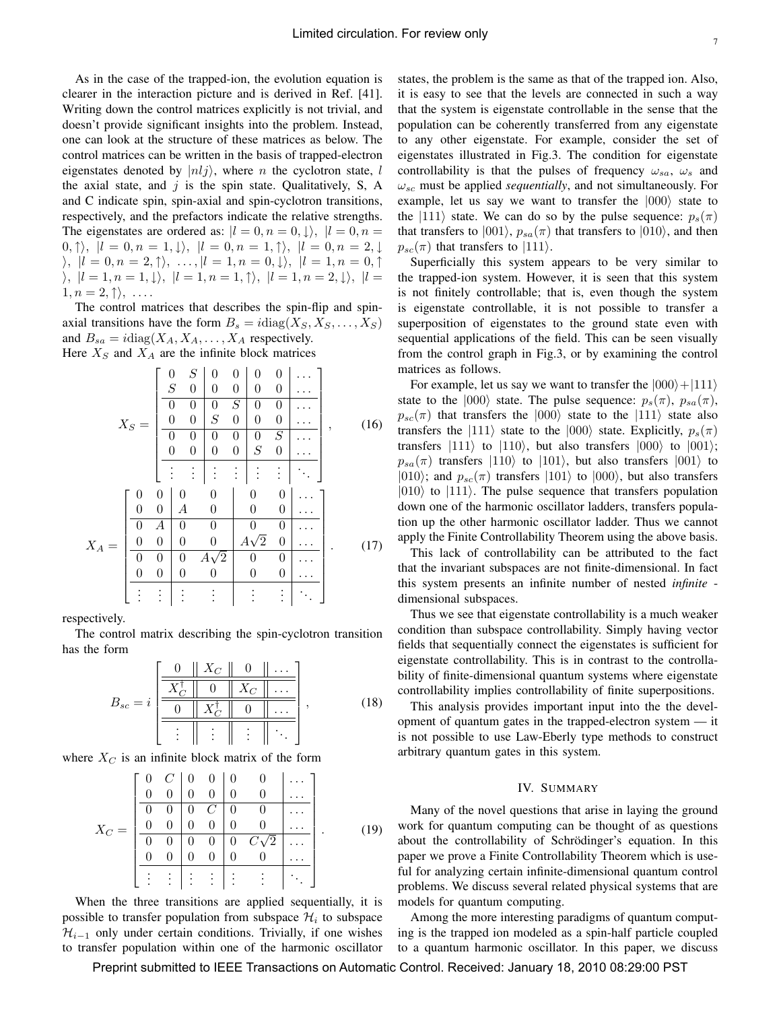As in the case of the trapped-ion, the evolution equation is clearer in the interaction picture and is derived in Ref. [41]. Writing down the control matrices explicitly is not trivial, and doesn't provide significant insights into the problem. Instead, one can look at the structure of these matrices as below. The control matrices can be written in the basis of trapped-electron eigenstates denoted by  $|nlj\rangle$ , where *n* the cyclotron state, *l* the axial state, and  $j$  is the spin state. Qualitatively, S, A and C indicate spin, spin-axial and spin-cyclotron transitions, respectively, and the prefactors indicate the relative strengths. The eigenstates are ordered as:  $|l = 0, n = 0, \downarrow\rangle, |l = 0, n = 1$  $|0, \uparrow\rangle, |l = 0, n = 1, \downarrow\rangle, |l = 0, n = 1, \uparrow\rangle, |l = 0, n = 2, \downarrow\rangle$  $\langle \rangle, |l = 0, n = 2, \uparrow \rangle, \ldots, |l = 1, n = 0, \downarrow \rangle, |l = 1, n = 0, \uparrow \rangle$  $\rangle, |l = 1, n = 1, \downarrow\rangle, |l = 1, n = 1, \uparrow\rangle, |l = 1, n = 2, \downarrow\rangle, |l =$  $1, n = 2, \uparrow \rangle, \ldots$ 

The control matrices that describes the spin-flip and spinaxial transitions have the form  $B_s = i \text{diag}(X_s, X_s, \dots, X_s)$ and  $B_{sa} = i \text{diag}(X_A, X_A, \dots, X_A)$  respectively. Here  $X_S$  and  $X_A$  are the infinite block matrices

$$
X_{S} = \begin{bmatrix} 0 & S & 0 & 0 & 0 & 0 & \cdots \\ S & 0 & 0 & 0 & 0 & 0 & \cdots \\ 0 & 0 & S & 0 & 0 & 0 & \cdots \\ 0 & 0 & S & 0 & 0 & 0 & \cdots \\ 0 & 0 & 0 & 0 & S & \cdots \\ 0 & 0 & 0 & 0 & S & 0 & \cdots \\ \vdots & \vdots & \vdots & \vdots & \vdots & \vdots & \ddots \end{bmatrix}, \qquad (16)
$$

$$
X_{A} = \begin{bmatrix} 0 & 0 & 0 & 0 & 0 & 0 & \cdots \\ 0 & 0 & A & 0 & 0 & 0 & \cdots \\ 0 & 0 & 0 & 0 & A\sqrt{2} & 0 & \cdots \\ 0 & 0 & 0 & 0 & A\sqrt{2} & 0 & \cdots \\ 0 & 0 & 0 & 0 & 0 & 0 & \cdots \\ \vdots & \vdots & \vdots & \vdots & \vdots & \vdots & \ddots \end{bmatrix} . \qquad (17)
$$

respectively.

The control matrix describing the spin-cyclotron transition has the form

$$
B_{sc} = i \left[ \begin{array}{c|c|c} 0 & X_C & 0 & \dots \\ \hline \hline \overline{X_C^{\dagger}} & 0 & X_C & \dots \\ \hline 0 & X_C^{\dagger} & 0 & \dots \\ \hline \vdots & \vdots & \vdots & \ddots \end{array} \right],\tag{18}
$$

where  $X_C$  is an infinite block matrix of the form

$$
X_C = \begin{bmatrix} 0 & C & 0 & 0 & 0 & 0 & \dots \\ 0 & 0 & 0 & 0 & 0 & 0 & \dots \\ 0 & 0 & 0 & C & 0 & 0 & \dots \\ 0 & 0 & 0 & 0 & 0 & 0 & \dots \\ \hline 0 & 0 & 0 & 0 & 0 & C\sqrt{2} & \dots \\ 0 & 0 & 0 & 0 & 0 & 0 & \dots \\ \vdots & \vdots & \vdots & \vdots & \vdots & \vdots & \ddots \end{bmatrix} . \tag{19}
$$

When the three transitions are applied sequentially, it is possible to transfer population from subspace  $\mathcal{H}_i$  to subspace  $\mathcal{H}_{i-1}$  only under certain conditions. Trivially, if one wishes to transfer population within one of the harmonic oscillator

states, the problem is the same as that of the trapped ion. Also, it is easy to see that the levels are connected in such a way that the system is eigenstate controllable in the sense that the population can be coherently transferred from any eigenstate to any other eigenstate. For example, consider the set of eigenstates illustrated in Fig.3. The condition for eigenstate controllability is that the pulses of frequency  $\omega_{sa}$ ,  $\omega_s$  and  $\omega_{sc}$  must be applied *sequentially*, and not simultaneously. For example, let us say we want to transfer the  $|000\rangle$  state to the  $|111\rangle$  state. We can do so by the pulse sequence:  $p_s(\pi)$ that transfers to  $|001\rangle$ ,  $p_{sa}(\pi)$  that transfers to  $|010\rangle$ , and then  $p_{sc}(\pi)$  that transfers to  $|111\rangle$ .

Superficially this system appears to be very similar to the trapped-ion system. However, it is seen that this system is not finitely controllable; that is, even though the system is eigenstate controllable, it is not possible to transfer a superposition of eigenstates to the ground state even with sequential applications of the field. This can be seen visually from the control graph in Fig.3, or by examining the control matrices as follows.

For example, let us say we want to transfer the  $|000\rangle + |111\rangle$ state to the  $|000\rangle$  state. The pulse sequence:  $p_s(\pi)$ ,  $p_{sa}(\pi)$ ,  $p_{sc}(\pi)$  that transfers the  $|000\rangle$  state to the  $|111\rangle$  state also transfers the  $|111\rangle$  state to the  $|000\rangle$  state. Explicitly,  $p_s(\pi)$ transfers  $|111\rangle$  to  $|110\rangle$ , but also transfers  $|000\rangle$  to  $|001\rangle$ ;  $p_{sa}(\pi)$  transfers  $|110\rangle$  to  $|101\rangle$ , but also transfers  $|001\rangle$  to  $|010\rangle$ ; and  $p_{sc}(\pi)$  transfers  $|101\rangle$  to  $|000\rangle$ , but also transfers  $|010\rangle$  to  $|111\rangle$ . The pulse sequence that transfers population down one of the harmonic oscillator ladders, transfers population up the other harmonic oscillator ladder. Thus we cannot apply the Finite Controllability Theorem using the above basis.

This lack of controllability can be attributed to the fact that the invariant subspaces are not finite-dimensional. In fact this system presents an infinite number of nested *infinite* dimensional subspaces.

Thus we see that eigenstate controllability is a much weaker condition than subspace controllability. Simply having vector fields that sequentially connect the eigenstates is sufficient for eigenstate controllability. This is in contrast to the controllability of finite-dimensional quantum systems where eigenstate controllability implies controllability of finite superpositions.

This analysis provides important input into the the development of quantum gates in the trapped-electron system — it is not possible to use Law-Eberly type methods to construct arbitrary quantum gates in this system.

### IV. SUMMARY

Many of the novel questions that arise in laying the ground work for quantum computing can be thought of as questions about the controllability of Schrödinger's equation. In this paper we prove a Finite Controllability Theorem which is useful for analyzing certain infinite-dimensional quantum control problems. We discuss several related physical systems that are models for quantum computing.

Among the more interesting paradigms of quantum computing is the trapped ion modeled as a spin-half particle coupled to a quantum harmonic oscillator. In this paper, we discuss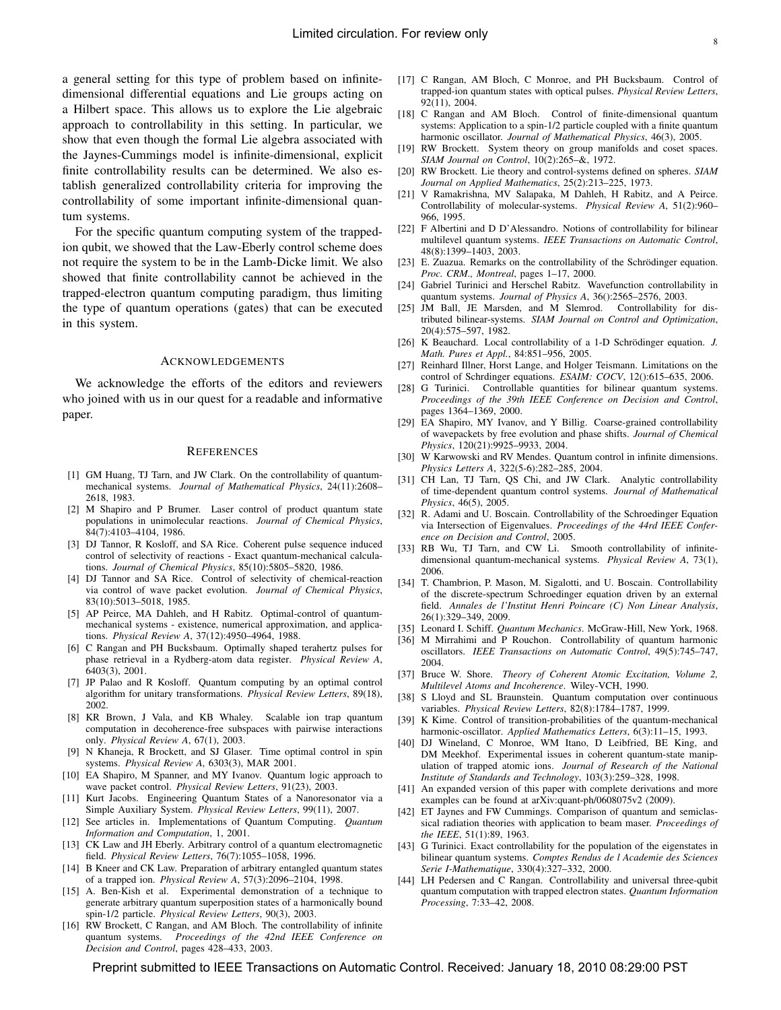a general setting for this type of problem based on infinitedimensional differential equations and Lie groups acting on a Hilbert space. This allows us to explore the Lie algebraic approach to controllability in this setting. In particular, we show that even though the formal Lie algebra associated with the Jaynes-Cummings model is infinite-dimensional, explicit finite controllability results can be determined. We also establish generalized controllability criteria for improving the controllability of some important infinite-dimensional quantum systems.

For the specific quantum computing system of the trappedion qubit, we showed that the Law-Eberly control scheme does not require the system to be in the Lamb-Dicke limit. We also showed that finite controllability cannot be achieved in the trapped-electron quantum computing paradigm, thus limiting the type of quantum operations (gates) that can be executed in this system.

#### ACKNOWLEDGEMENTS

We acknowledge the efforts of the editors and reviewers who joined with us in our quest for a readable and informative paper.

#### **REFERENCES**

- [1] GM Huang, TJ Tarn, and JW Clark. On the controllability of quantummechanical systems. *Journal of Mathematical Physics*, 24(11):2608– 2618, 1983.
- [2] M Shapiro and P Brumer. Laser control of product quantum state populations in unimolecular reactions. *Journal of Chemical Physics*, 84(7):4103–4104, 1986.
- [3] DJ Tannor, R Kosloff, and SA Rice. Coherent pulse sequence induced control of selectivity of reactions - Exact quantum-mechanical calculations. *Journal of Chemical Physics*, 85(10):5805–5820, 1986.
- [4] DJ Tannor and SA Rice. Control of selectivity of chemical-reaction via control of wave packet evolution. *Journal of Chemical Physics*, 83(10):5013–5018, 1985.
- [5] AP Peirce, MA Dahleh, and H Rabitz. Optimal-control of quantummechanical systems - existence, numerical approximation, and applications. *Physical Review A*, 37(12):4950–4964, 1988.
- [6] C Rangan and PH Bucksbaum. Optimally shaped terahertz pulses for phase retrieval in a Rydberg-atom data register. *Physical Review A*, 6403(3), 2001.
- [7] JP Palao and R Kosloff. Quantum computing by an optimal control algorithm for unitary transformations. *Physical Review Letters*, 89(18), 2002.
- [8] KR Brown, J Vala, and KB Whaley. Scalable ion trap quantum computation in decoherence-free subspaces with pairwise interactions only. *Physical Review A*, 67(1), 2003.
- [9] N Khaneja, R Brockett, and SJ Glaser. Time optimal control in spin systems. *Physical Review A*, 6303(3), MAR 2001.
- [10] EA Shapiro, M Spanner, and MY Ivanov. Quantum logic approach to wave packet control. *Physical Review Letters*, 91(23), 2003.
- [11] Kurt Jacobs. Engineering Quantum States of a Nanoresonator via a Simple Auxiliary System. *Physical Review Letters*, 99(11), 2007.
- [12] See articles in. Implementations of Quantum Computing. *Quantum Information and Computation*, 1, 2001.
- [13] CK Law and JH Eberly. Arbitrary control of a quantum electromagnetic field. *Physical Review Letters*, 76(7):1055–1058, 1996.
- [14] B Kneer and CK Law. Preparation of arbitrary entangled quantum states of a trapped ion. *Physical Review A*, 57(3):2096–2104, 1998.
- [15] A. Ben-Kish et al. Experimental demonstration of a technique to generate arbitrary quantum superposition states of a harmonically bound spin-1/2 particle. *Physical Review Letters*, 90(3), 2003.
- [16] RW Brockett, C Rangan, and AM Bloch. The controllability of infinite quantum systems. *Proceedings of the 42nd IEEE Conference on Decision and Control*, pages 428–433, 2003.
- [17] C Rangan, AM Bloch, C Monroe, and PH Bucksbaum. Control of trapped-ion quantum states with optical pulses. *Physical Review Letters*, 92(11), 2004.
- [18] C Rangan and AM Bloch. Control of finite-dimensional quantum systems: Application to a spin-1/2 particle coupled with a finite quantum harmonic oscillator. *Journal of Mathematical Physics*, 46(3), 2005.
- [19] RW Brockett. System theory on group manifolds and coset spaces. *SIAM Journal on Control*, 10(2):265–&, 1972.
- [20] RW Brockett. Lie theory and control-systems defined on spheres. *SIAM Journal on Applied Mathematics*, 25(2):213–225, 1973.
- [21] V Ramakrishna, MV Salapaka, M Dahleh, H Rabitz, and A Peirce. Controllability of molecular-systems. *Physical Review A*, 51(2):960– 966, 1995.
- [22] F Albertini and D D'Alessandro. Notions of controllability for bilinear multilevel quantum systems. *IEEE Transactions on Automatic Control*, 48(8):1399–1403, 2003.
- [23] E. Zuazua. Remarks on the controllability of the Schrödinger equation. *Proc. CRM., Montreal*, pages 1–17, 2000.
- [24] Gabriel Turinici and Herschel Rabitz. Wavefunction controllability in quantum systems. *Journal of Physics A*, 36():2565–2576, 2003.
- [25] JM Ball, JE Marsden, and M Slemrod. Controllability for distributed bilinear-systems. *SIAM Journal on Control and Optimization*, 20(4):575–597, 1982.
- [26] K Beauchard. Local controllability of a 1-D Schrödinger equation. J. *Math. Pures et Appl.*, 84:851–956, 2005.
- [27] Reinhard Illner, Horst Lange, and Holger Teismann. Limitations on the control of Schrdinger equations. *ESAIM: COCV*, 12():615–635, 2006.
- [28] G Turinici. Controllable quantities for bilinear quantum systems. *Proceedings of the 39th IEEE Conference on Decision and Control*, pages 1364–1369, 2000.
- [29] EA Shapiro, MY Ivanov, and Y Billig. Coarse-grained controllability of wavepackets by free evolution and phase shifts. *Journal of Chemical Physics*, 120(21):9925–9933, 2004.
- [30] W Karwowski and RV Mendes. Quantum control in infinite dimensions. *Physics Letters A*, 322(5-6):282–285, 2004.
- [31] CH Lan, TJ Tarn, QS Chi, and JW Clark. Analytic controllability of time-dependent quantum control systems. *Journal of Mathematical Physics*, 46(5), 2005.
- [32] R. Adami and U. Boscain. Controllability of the Schroedinger Equation via Intersection of Eigenvalues. *Proceedings of the 44rd IEEE Conference on Decision and Control*, 2005.
- [33] RB Wu, TJ Tarn, and CW Li. Smooth controllability of infinitedimensional quantum-mechanical systems. *Physical Review A*, 73(1), 2006.
- [34] T. Chambrion, P. Mason, M. Sigalotti, and U. Boscain. Controllability of the discrete-spectrum Schroedinger equation driven by an external field. *Annales de l'Institut Henri Poincare (C) Non Linear Analysis*, 26(1):329–349, 2009.
- [35] Leonard I. Schiff. *Quantum Mechanics*. McGraw-Hill, New York, 1968.
- [36] M Mirrahimi and P Rouchon. Controllability of quantum harmonic oscillators. *IEEE Transactions on Automatic Control*, 49(5):745–747, 2004.
- [37] Bruce W. Shore. *Theory of Coherent Atomic Excitation, Volume 2, Multilevel Atoms and Incoherence*. Wiley-VCH, 1990.
- [38] S Lloyd and SL Braunstein. Quantum computation over continuous variables. *Physical Review Letters*, 82(8):1784–1787, 1999.
- [39] K Kime. Control of transition-probabilities of the quantum-mechanical harmonic-oscillator. *Applied Mathematics Letters*,  $6(3)$ :11-15, 1993.
- [40] DJ Wineland, C Monroe, WM Itano, D Leibfried, BE King, and DM Meekhof. Experimental issues in coherent quantum-state manipulation of trapped atomic ions. *Journal of Research of the National Institute of Standards and Technology*, 103(3):259–328, 1998.
- [41] An expanded version of this paper with complete derivations and more examples can be found at arXiv:quant-ph/0608075v2 (2009).
- [42] ET Jaynes and FW Cummings. Comparison of quantum and semiclassical radiation theories with application to beam maser. *Proceedings of the IEEE*, 51(1):89, 1963.
- [43] G Turinici. Exact controllability for the population of the eigenstates in bilinear quantum systems. *Comptes Rendus de l Academie des Sciences Serie I-Mathematique*, 330(4):327–332, 2000.
- [44] LH Pedersen and C Rangan. Controllability and universal three-qubit quantum computation with trapped electron states. *Quantum Information Processing*, 7:33–42, 2008.